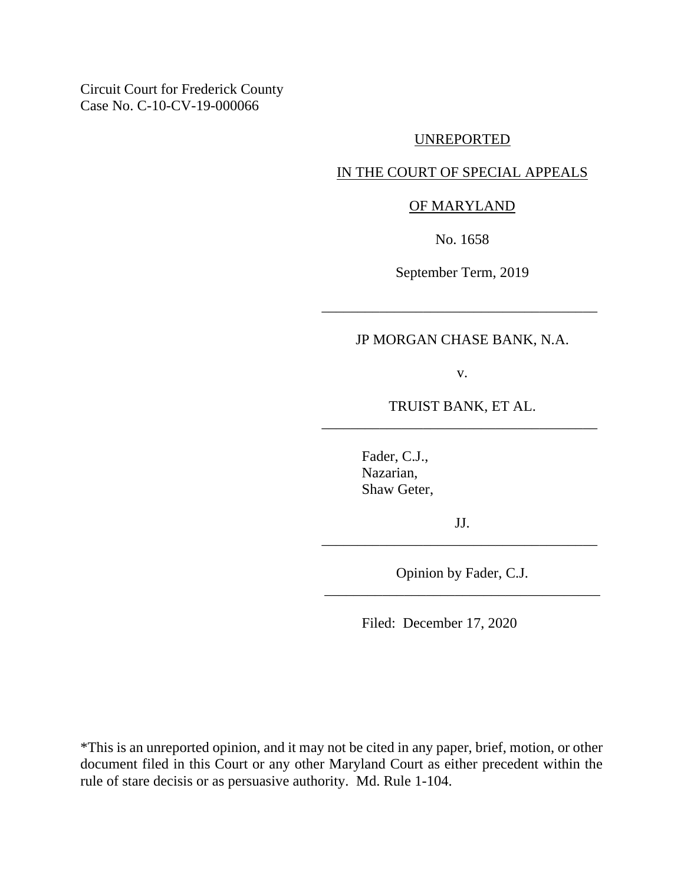Circuit Court for Frederick County Case No. C-10-CV-19-000066

#### UNREPORTED

### IN THE COURT OF SPECIAL APPEALS

#### OF MARYLAND

No. 1658

September Term, 2019

\_\_\_\_\_\_\_\_\_\_\_\_\_\_\_\_\_\_\_\_\_\_\_\_\_\_\_\_\_\_\_\_\_\_\_\_\_\_

# JP MORGAN CHASE BANK, N.A.

v.

TRUIST BANK, ET AL. \_\_\_\_\_\_\_\_\_\_\_\_\_\_\_\_\_\_\_\_\_\_\_\_\_\_\_\_\_\_\_\_\_\_\_\_\_\_

> Fader, C.J., Nazarian, Shaw Geter,

JJ. \_\_\_\_\_\_\_\_\_\_\_\_\_\_\_\_\_\_\_\_\_\_\_\_\_\_\_\_\_\_\_\_\_\_\_\_\_\_

Opinion by Fader, C.J. \_\_\_\_\_\_\_\_\_\_\_\_\_\_\_\_\_\_\_\_\_\_\_\_\_\_\_\_\_\_\_\_\_\_\_\_\_\_

Filed: December 17, 2020

\*This is an unreported opinion, and it may not be cited in any paper, brief, motion, or other document filed in this Court or any other Maryland Court as either precedent within the rule of stare decisis or as persuasive authority. Md. Rule 1-104.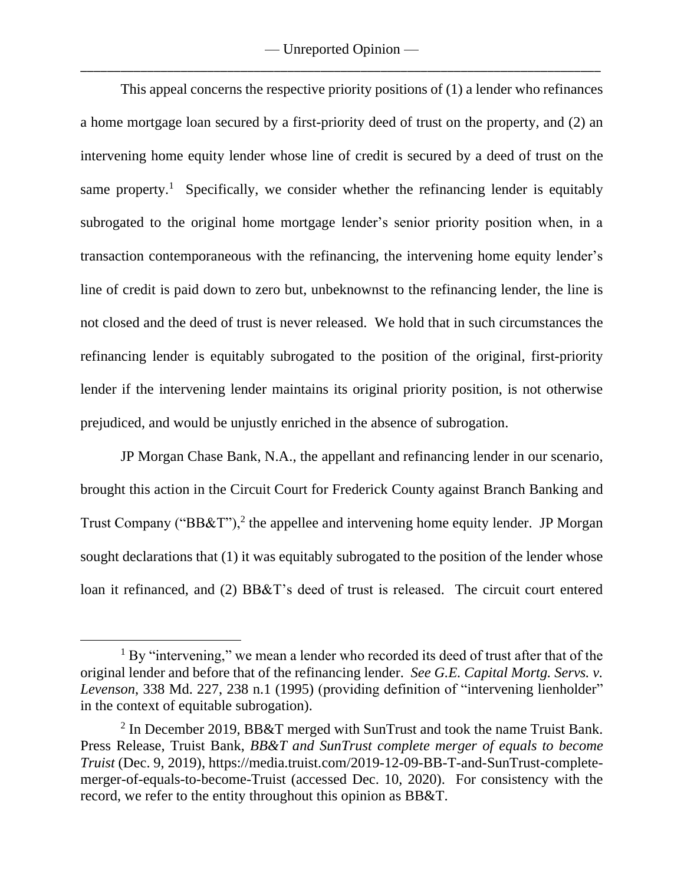— Unreported Opinion — \_\_\_\_\_\_\_\_\_\_\_\_\_\_\_\_\_\_\_\_\_\_\_\_\_\_\_\_\_\_\_\_\_\_\_\_\_\_\_\_\_\_\_\_\_\_\_\_\_\_\_\_\_\_\_\_\_\_\_\_\_\_\_\_\_\_\_\_\_\_\_\_\_\_\_\_\_\_

This appeal concerns the respective priority positions of (1) a lender who refinances a home mortgage loan secured by a first-priority deed of trust on the property, and (2) an intervening home equity lender whose line of credit is secured by a deed of trust on the same property.<sup>1</sup> Specifically, we consider whether the refinancing lender is equitably subrogated to the original home mortgage lender's senior priority position when, in a transaction contemporaneous with the refinancing, the intervening home equity lender's line of credit is paid down to zero but, unbeknownst to the refinancing lender, the line is not closed and the deed of trust is never released. We hold that in such circumstances the refinancing lender is equitably subrogated to the position of the original, first-priority lender if the intervening lender maintains its original priority position, is not otherwise prejudiced, and would be unjustly enriched in the absence of subrogation.

JP Morgan Chase Bank, N.A., the appellant and refinancing lender in our scenario, brought this action in the Circuit Court for Frederick County against Branch Banking and Trust Company (" $BB&T$ "),<sup>2</sup> the appellee and intervening home equity lender. JP Morgan sought declarations that (1) it was equitably subrogated to the position of the lender whose loan it refinanced, and (2) BB&T's deed of trust is released. The circuit court entered

 $1$  By "intervening," we mean a lender who recorded its deed of trust after that of the original lender and before that of the refinancing lender. *See G.E. Capital Mortg. Servs. v. Levenson*, 338 Md. 227, 238 n.1 (1995) (providing definition of "intervening lienholder" in the context of equitable subrogation).

<sup>&</sup>lt;sup>2</sup> In December 2019, BB&T merged with SunTrust and took the name Truist Bank. Press Release, Truist Bank, *BB&T and SunTrust complete merger of equals to become Truist* (Dec. 9, 2019), https://media.truist.com/2019-12-09-BB-T-and-SunTrust-completemerger-of-equals-to-become-Truist (accessed Dec. 10, 2020). For consistency with the record, we refer to the entity throughout this opinion as BB&T.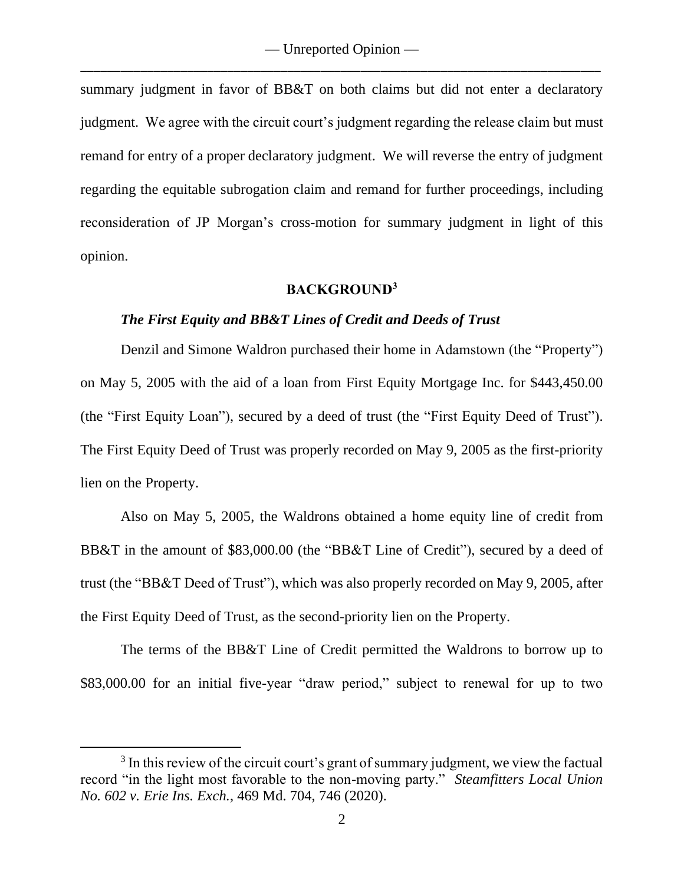summary judgment in favor of BB&T on both claims but did not enter a declaratory judgment. We agree with the circuit court's judgment regarding the release claim but must remand for entry of a proper declaratory judgment. We will reverse the entry of judgment regarding the equitable subrogation claim and remand for further proceedings, including reconsideration of JP Morgan's cross-motion for summary judgment in light of this opinion.

#### **BACKGROUND<sup>3</sup>**

### *The First Equity and BB&T Lines of Credit and Deeds of Trust*

Denzil and Simone Waldron purchased their home in Adamstown (the "Property") on May 5, 2005 with the aid of a loan from First Equity Mortgage Inc. for \$443,450.00 (the "First Equity Loan"), secured by a deed of trust (the "First Equity Deed of Trust"). The First Equity Deed of Trust was properly recorded on May 9, 2005 as the first-priority lien on the Property.

Also on May 5, 2005, the Waldrons obtained a home equity line of credit from BB&T in the amount of \$83,000.00 (the "BB&T Line of Credit"), secured by a deed of trust (the "BB&T Deed of Trust"), which was also properly recorded on May 9, 2005, after the First Equity Deed of Trust, as the second-priority lien on the Property.

The terms of the BB&T Line of Credit permitted the Waldrons to borrow up to \$83,000.00 for an initial five-year "draw period," subject to renewal for up to two

 $3$  In this review of the circuit court's grant of summary judgment, we view the factual record "in the light most favorable to the non-moving party." *Steamfitters Local Union No. 602 v. Erie Ins. Exch.*, 469 Md. 704, 746 (2020).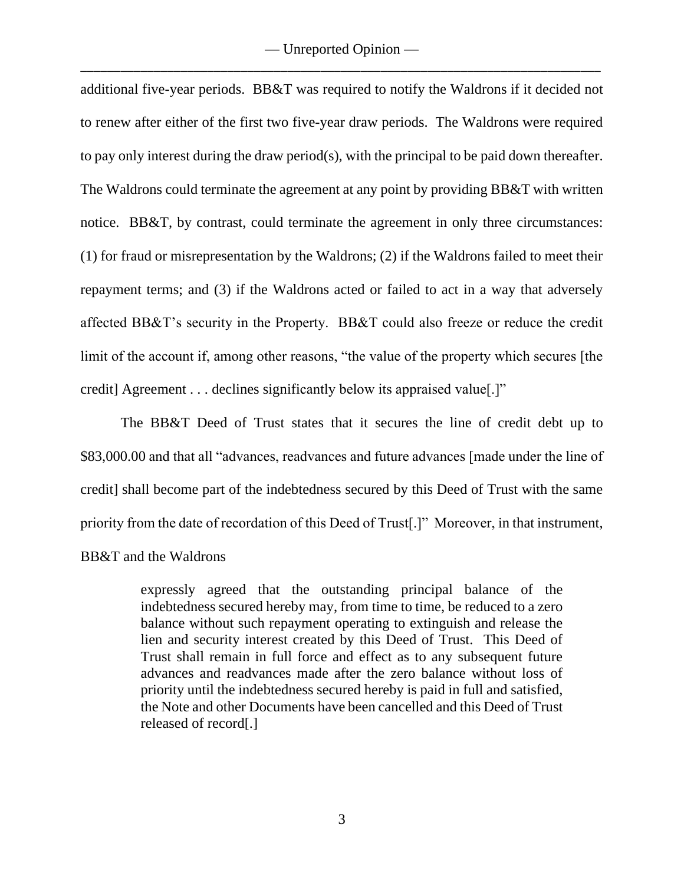additional five-year periods. BB&T was required to notify the Waldrons if it decided not to renew after either of the first two five-year draw periods. The Waldrons were required to pay only interest during the draw period(s), with the principal to be paid down thereafter. The Waldrons could terminate the agreement at any point by providing BB&T with written notice. BB&T, by contrast, could terminate the agreement in only three circumstances: (1) for fraud or misrepresentation by the Waldrons; (2) if the Waldrons failed to meet their repayment terms; and (3) if the Waldrons acted or failed to act in a way that adversely affected BB&T's security in the Property. BB&T could also freeze or reduce the credit limit of the account if, among other reasons, "the value of the property which secures [the credit] Agreement . . . declines significantly below its appraised value[.]"

The BB&T Deed of Trust states that it secures the line of credit debt up to \$83,000.00 and that all "advances, readvances and future advances [made under the line of credit] shall become part of the indebtedness secured by this Deed of Trust with the same priority from the date of recordation of this Deed of Trust[.]" Moreover, in that instrument, BB&T and the Waldrons

> expressly agreed that the outstanding principal balance of the indebtedness secured hereby may, from time to time, be reduced to a zero balance without such repayment operating to extinguish and release the lien and security interest created by this Deed of Trust. This Deed of Trust shall remain in full force and effect as to any subsequent future advances and readvances made after the zero balance without loss of priority until the indebtedness secured hereby is paid in full and satisfied, the Note and other Documents have been cancelled and this Deed of Trust released of record[.]

> > 3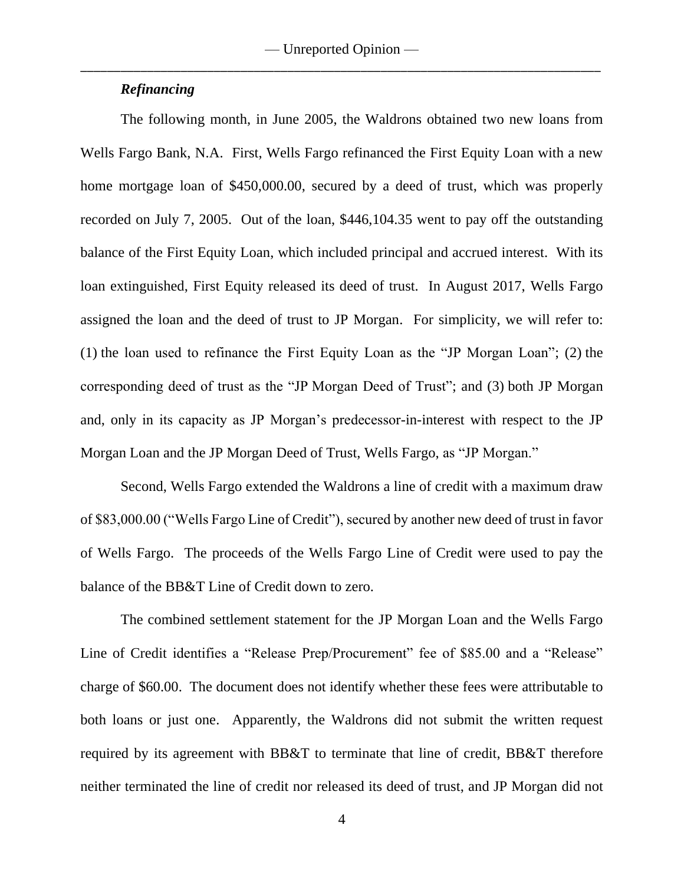### *Refinancing*

The following month, in June 2005, the Waldrons obtained two new loans from Wells Fargo Bank, N.A. First, Wells Fargo refinanced the First Equity Loan with a new home mortgage loan of \$450,000.00, secured by a deed of trust, which was properly recorded on July 7, 2005. Out of the loan, \$446,104.35 went to pay off the outstanding balance of the First Equity Loan, which included principal and accrued interest. With its loan extinguished, First Equity released its deed of trust. In August 2017, Wells Fargo assigned the loan and the deed of trust to JP Morgan. For simplicity, we will refer to: (1) the loan used to refinance the First Equity Loan as the "JP Morgan Loan"; (2) the corresponding deed of trust as the "JP Morgan Deed of Trust"; and (3) both JP Morgan and, only in its capacity as JP Morgan's predecessor-in-interest with respect to the JP Morgan Loan and the JP Morgan Deed of Trust, Wells Fargo, as "JP Morgan."

Second, Wells Fargo extended the Waldrons a line of credit with a maximum draw of \$83,000.00 ("Wells Fargo Line of Credit"), secured by another new deed of trust in favor of Wells Fargo. The proceeds of the Wells Fargo Line of Credit were used to pay the balance of the BB&T Line of Credit down to zero.

The combined settlement statement for the JP Morgan Loan and the Wells Fargo Line of Credit identifies a "Release Prep/Procurement" fee of \$85.00 and a "Release" charge of \$60.00. The document does not identify whether these fees were attributable to both loans or just one. Apparently, the Waldrons did not submit the written request required by its agreement with BB&T to terminate that line of credit, BB&T therefore neither terminated the line of credit nor released its deed of trust, and JP Morgan did not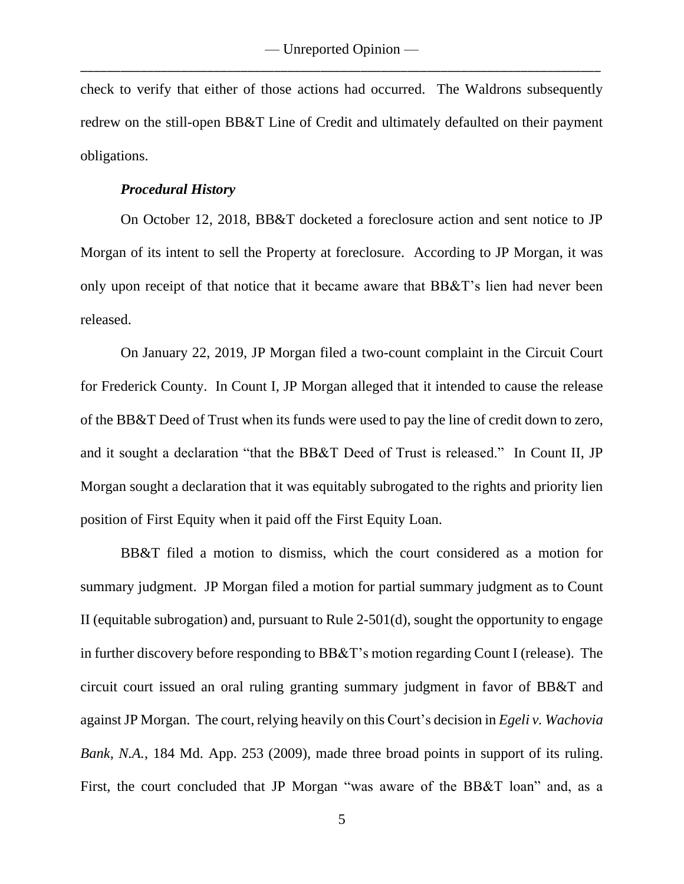check to verify that either of those actions had occurred. The Waldrons subsequently redrew on the still-open BB&T Line of Credit and ultimately defaulted on their payment obligations.

#### *Procedural History*

On October 12, 2018, BB&T docketed a foreclosure action and sent notice to JP Morgan of its intent to sell the Property at foreclosure. According to JP Morgan, it was only upon receipt of that notice that it became aware that BB&T's lien had never been released.

On January 22, 2019, JP Morgan filed a two-count complaint in the Circuit Court for Frederick County. In Count I, JP Morgan alleged that it intended to cause the release of the BB&T Deed of Trust when its funds were used to pay the line of credit down to zero, and it sought a declaration "that the BB&T Deed of Trust is released." In Count II, JP Morgan sought a declaration that it was equitably subrogated to the rights and priority lien position of First Equity when it paid off the First Equity Loan.

BB&T filed a motion to dismiss, which the court considered as a motion for summary judgment. JP Morgan filed a motion for partial summary judgment as to Count II (equitable subrogation) and, pursuant to Rule 2-501(d), sought the opportunity to engage in further discovery before responding to BB&T's motion regarding Count I (release). The circuit court issued an oral ruling granting summary judgment in favor of BB&T and against JP Morgan. The court, relying heavily on this Court's decision in *Egeli v. Wachovia Bank, N.A.*, 184 Md. App. 253 (2009), made three broad points in support of its ruling. First, the court concluded that JP Morgan "was aware of the BB&T loan" and, as a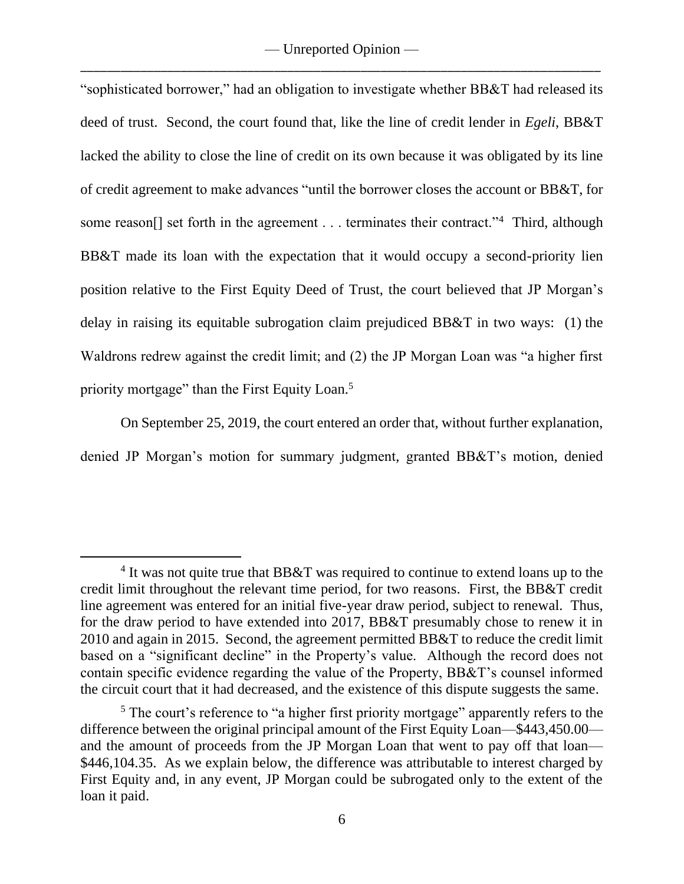"sophisticated borrower," had an obligation to investigate whether BB&T had released its deed of trust. Second, the court found that, like the line of credit lender in *Egeli*, BB&T lacked the ability to close the line of credit on its own because it was obligated by its line of credit agreement to make advances "until the borrower closes the account or BB&T, for some reason[] set forth in the agreement . . . terminates their contract."<sup>4</sup> Third, although BB&T made its loan with the expectation that it would occupy a second-priority lien position relative to the First Equity Deed of Trust, the court believed that JP Morgan's delay in raising its equitable subrogation claim prejudiced BB&T in two ways: (1) the Waldrons redrew against the credit limit; and (2) the JP Morgan Loan was "a higher first priority mortgage" than the First Equity Loan.<sup>5</sup>

On September 25, 2019, the court entered an order that, without further explanation, denied JP Morgan's motion for summary judgment, granted BB&T's motion, denied

<sup>&</sup>lt;sup>4</sup> It was not quite true that BB&T was required to continue to extend loans up to the credit limit throughout the relevant time period, for two reasons. First, the BB&T credit line agreement was entered for an initial five-year draw period, subject to renewal. Thus, for the draw period to have extended into 2017, BB&T presumably chose to renew it in 2010 and again in 2015. Second, the agreement permitted BB&T to reduce the credit limit based on a "significant decline" in the Property's value. Although the record does not contain specific evidence regarding the value of the Property, BB&T's counsel informed the circuit court that it had decreased, and the existence of this dispute suggests the same.

<sup>&</sup>lt;sup>5</sup> The court's reference to "a higher first priority mortgage" apparently refers to the difference between the original principal amount of the First Equity Loan—\$443,450.00 and the amount of proceeds from the JP Morgan Loan that went to pay off that loan— \$446,104.35. As we explain below, the difference was attributable to interest charged by First Equity and, in any event, JP Morgan could be subrogated only to the extent of the loan it paid.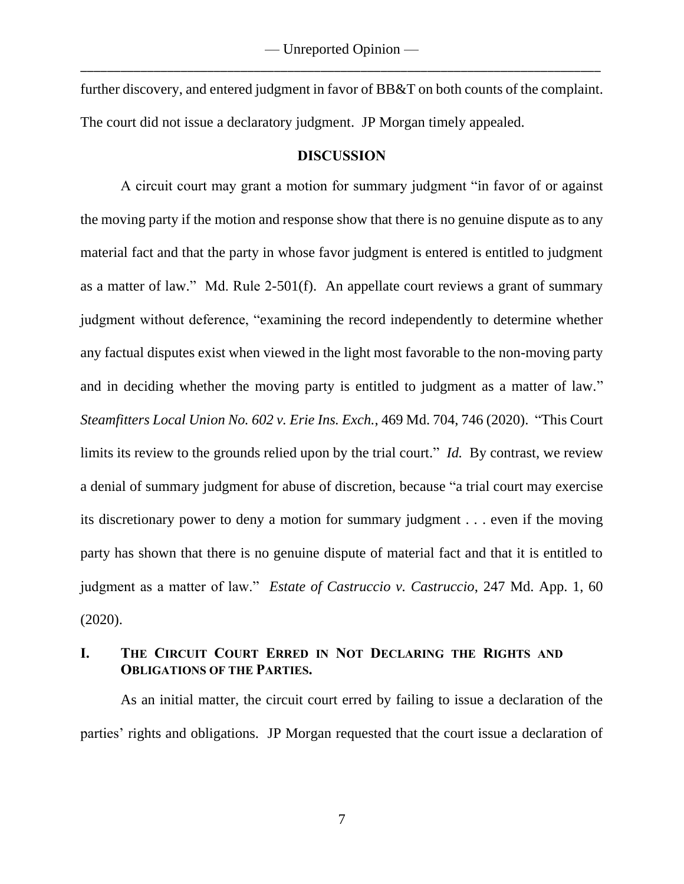further discovery, and entered judgment in favor of BB&T on both counts of the complaint. The court did not issue a declaratory judgment.JP Morgan timely appealed.

### **DISCUSSION**

A circuit court may grant a motion for summary judgment "in favor of or against the moving party if the motion and response show that there is no genuine dispute as to any material fact and that the party in whose favor judgment is entered is entitled to judgment as a matter of law." Md. Rule 2-501(f). An appellate court reviews a grant of summary judgment without deference, "examining the record independently to determine whether any factual disputes exist when viewed in the light most favorable to the non-moving party and in deciding whether the moving party is entitled to judgment as a matter of law." *Steamfitters Local Union No. 602 v. Erie Ins. Exch.*, 469 Md. 704, 746 (2020). "This Court limits its review to the grounds relied upon by the trial court." *Id.* By contrast, we review a denial of summary judgment for abuse of discretion, because "a trial court may exercise its discretionary power to deny a motion for summary judgment . . . even if the moving party has shown that there is no genuine dispute of material fact and that it is entitled to judgment as a matter of law." *Estate of Castruccio v. Castruccio*, 247 Md. App. 1, 60 (2020).

# **I. THE CIRCUIT COURT ERRED IN NOT DECLARING THE RIGHTS AND OBLIGATIONS OF THE PARTIES.**

As an initial matter, the circuit court erred by failing to issue a declaration of the parties' rights and obligations. JP Morgan requested that the court issue a declaration of

7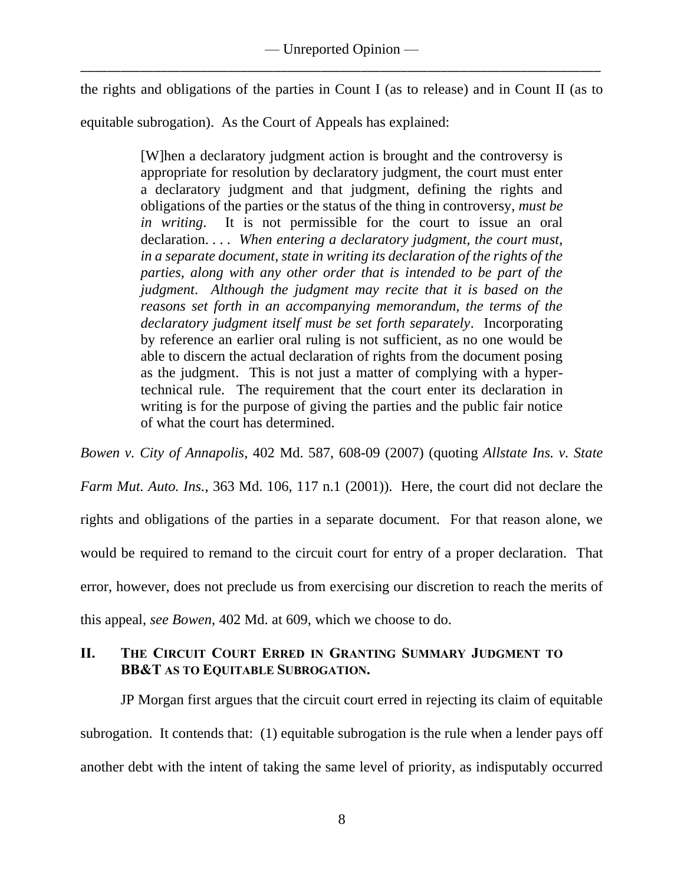the rights and obligations of the parties in Count I (as to release) and in Count II (as to

equitable subrogation). As the Court of Appeals has explained:

[W]hen a declaratory judgment action is brought and the controversy is appropriate for resolution by declaratory judgment, the court must enter a declaratory judgment and that judgment, defining the rights and obligations of the parties or the status of the thing in controversy, *must be in writing*. It is not permissible for the court to issue an oral declaration. . . . *When entering a declaratory judgment, the court must, in a separate document, state in writing its declaration of the rights of the parties, along with any other order that is intended to be part of the judgment*. *Although the judgment may recite that it is based on the reasons set forth in an accompanying memorandum, the terms of the declaratory judgment itself must be set forth separately*. Incorporating by reference an earlier oral ruling is not sufficient, as no one would be able to discern the actual declaration of rights from the document posing as the judgment. This is not just a matter of complying with a hypertechnical rule. The requirement that the court enter its declaration in writing is for the purpose of giving the parties and the public fair notice of what the court has determined.

*Bowen v. City of Annapolis*, 402 Md. 587, 608-09 (2007) (quoting *Allstate Ins. v. State* 

*Farm Mut. Auto. Ins.*, 363 Md. 106, 117 n.1 (2001)). Here, the court did not declare the rights and obligations of the parties in a separate document. For that reason alone, we would be required to remand to the circuit court for entry of a proper declaration. That error, however, does not preclude us from exercising our discretion to reach the merits of this appeal, *see Bowen*, 402 Md. at 609, which we choose to do.

## **II. THE CIRCUIT COURT ERRED IN GRANTING SUMMARY JUDGMENT TO BB&T AS TO EQUITABLE SUBROGATION.**

JP Morgan first argues that the circuit court erred in rejecting its claim of equitable subrogation. It contends that: (1) equitable subrogation is the rule when a lender pays off another debt with the intent of taking the same level of priority, as indisputably occurred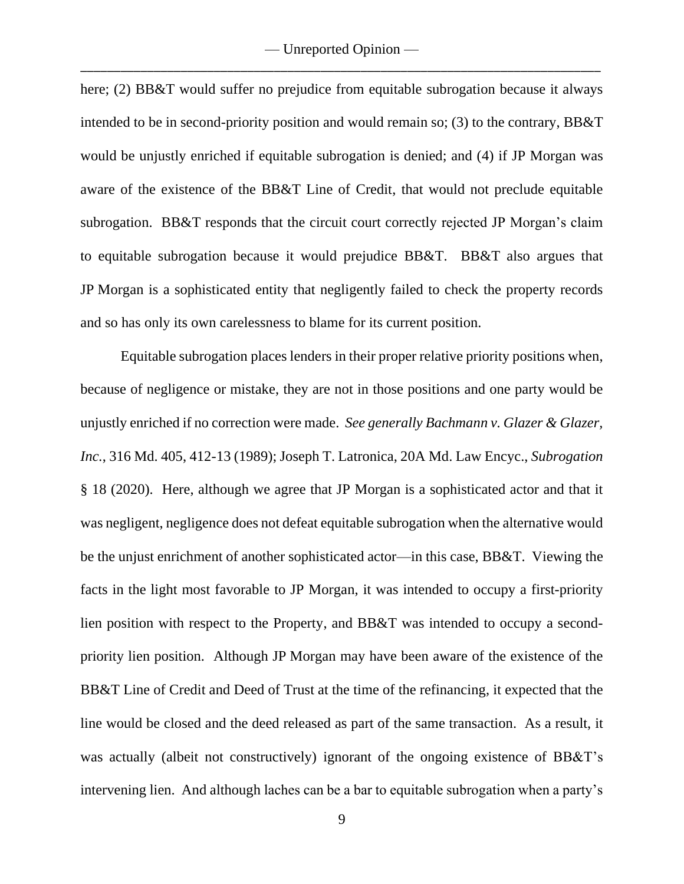here; (2) BB&T would suffer no prejudice from equitable subrogation because it always intended to be in second-priority position and would remain so; (3) to the contrary, BB&T would be unjustly enriched if equitable subrogation is denied; and (4) if JP Morgan was aware of the existence of the BB&T Line of Credit, that would not preclude equitable subrogation. BB&T responds that the circuit court correctly rejected JP Morgan's claim to equitable subrogation because it would prejudice BB&T. BB&T also argues that JP Morgan is a sophisticated entity that negligently failed to check the property records and so has only its own carelessness to blame for its current position.

Equitable subrogation places lenders in their proper relative priority positions when, because of negligence or mistake, they are not in those positions and one party would be unjustly enriched if no correction were made. *See generally Bachmann v. Glazer & Glazer, Inc.*, 316 Md. 405, 412-13 (1989); Joseph T. Latronica, 20A Md. Law Encyc., *Subrogation* § 18 (2020). Here, although we agree that JP Morgan is a sophisticated actor and that it was negligent, negligence does not defeat equitable subrogation when the alternative would be the unjust enrichment of another sophisticated actor—in this case, BB&T. Viewing the facts in the light most favorable to JP Morgan, it was intended to occupy a first-priority lien position with respect to the Property, and BB&T was intended to occupy a secondpriority lien position. Although JP Morgan may have been aware of the existence of the BB&T Line of Credit and Deed of Trust at the time of the refinancing, it expected that the line would be closed and the deed released as part of the same transaction. As a result, it was actually (albeit not constructively) ignorant of the ongoing existence of BB&T's intervening lien. And although laches can be a bar to equitable subrogation when a party's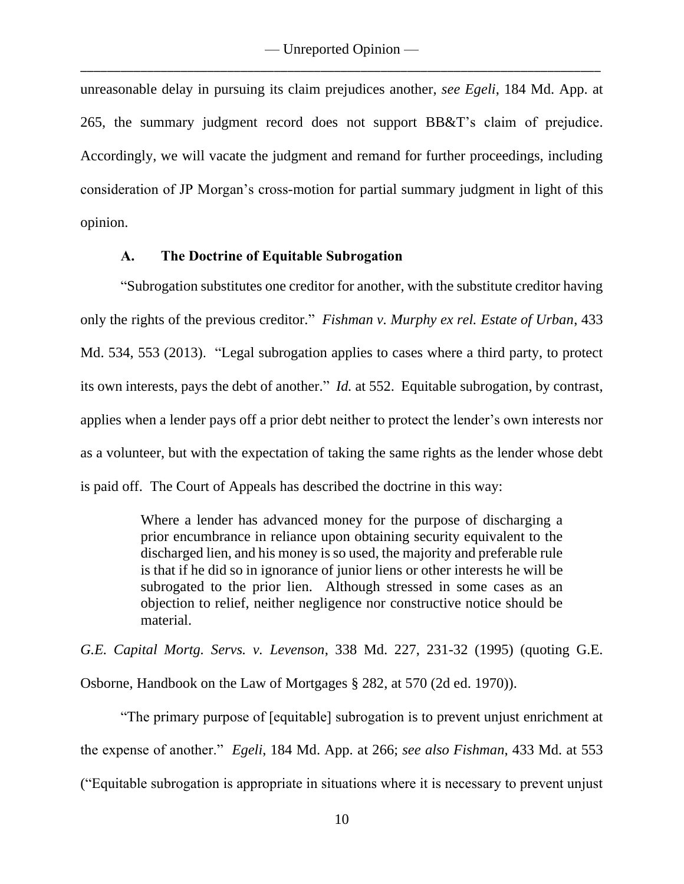unreasonable delay in pursuing its claim prejudices another, *see Egeli*, 184 Md. App. at 265, the summary judgment record does not support BB&T's claim of prejudice. Accordingly, we will vacate the judgment and remand for further proceedings, including consideration of JP Morgan's cross-motion for partial summary judgment in light of this opinion.

## **A. The Doctrine of Equitable Subrogation**

"Subrogation substitutes one creditor for another, with the substitute creditor having only the rights of the previous creditor." *Fishman v. Murphy ex rel. Estate of Urban*, 433 Md. 534, 553 (2013). "Legal subrogation applies to cases where a third party, to protect its own interests, pays the debt of another." *Id.* at 552. Equitable subrogation, by contrast, applies when a lender pays off a prior debt neither to protect the lender's own interests nor as a volunteer, but with the expectation of taking the same rights as the lender whose debt is paid off. The Court of Appeals has described the doctrine in this way:

> Where a lender has advanced money for the purpose of discharging a prior encumbrance in reliance upon obtaining security equivalent to the discharged lien, and his money is so used, the majority and preferable rule is that if he did so in ignorance of junior liens or other interests he will be subrogated to the prior lien. Although stressed in some cases as an objection to relief, neither negligence nor constructive notice should be material.

*G.E. Capital Mortg. Servs. v. Levenson*, 338 Md. 227, 231-32 (1995) (quoting G.E. Osborne, Handbook on the Law of Mortgages § 282, at 570 (2d ed. 1970)).

"The primary purpose of [equitable] subrogation is to prevent unjust enrichment at the expense of another." *Egeli*, 184 Md. App. at 266; *see also Fishman*, 433 Md. at 553 ("Equitable subrogation is appropriate in situations where it is necessary to prevent unjust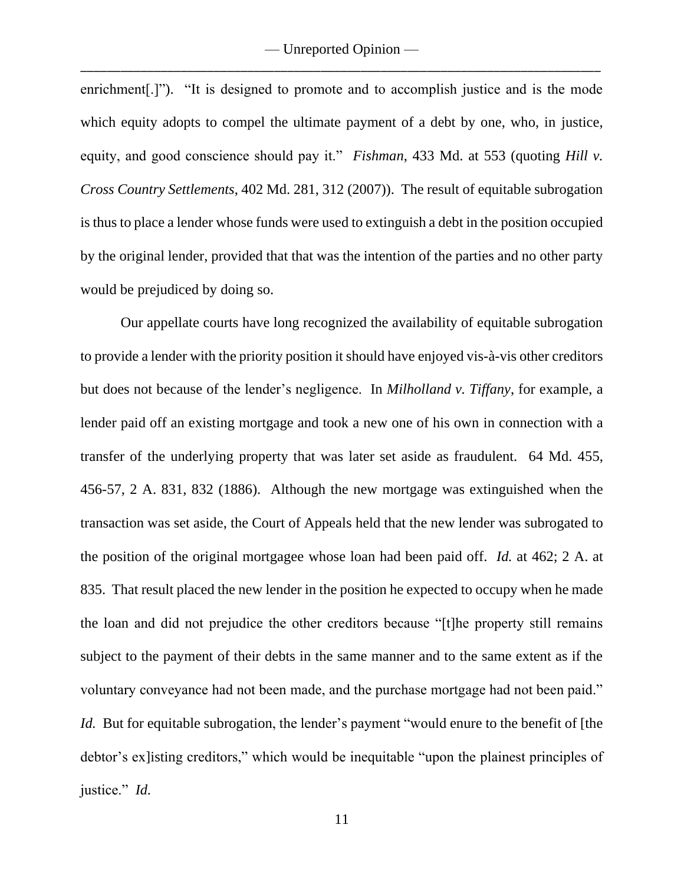enrichment.]"). "It is designed to promote and to accomplish justice and is the mode which equity adopts to compel the ultimate payment of a debt by one, who, in justice, equity, and good conscience should pay it." *Fishman*, 433 Md. at 553 (quoting *Hill v. Cross Country Settlements*, 402 Md. 281, 312 (2007)). The result of equitable subrogation is thus to place a lender whose funds were used to extinguish a debt in the position occupied by the original lender, provided that that was the intention of the parties and no other party would be prejudiced by doing so.

Our appellate courts have long recognized the availability of equitable subrogation to provide a lender with the priority position it should have enjoyed vis-à-vis other creditors but does not because of the lender's negligence. In *Milholland v. Tiffany*, for example, a lender paid off an existing mortgage and took a new one of his own in connection with a transfer of the underlying property that was later set aside as fraudulent. 64 Md. 455, 456-57, 2 A. 831, 832 (1886). Although the new mortgage was extinguished when the transaction was set aside, the Court of Appeals held that the new lender was subrogated to the position of the original mortgagee whose loan had been paid off. *Id.* at 462; 2 A. at 835. That result placed the new lender in the position he expected to occupy when he made the loan and did not prejudice the other creditors because "[t]he property still remains subject to the payment of their debts in the same manner and to the same extent as if the voluntary conveyance had not been made, and the purchase mortgage had not been paid." *Id.* But for equitable subrogation, the lender's payment "would enure to the benefit of [the debtor's ex]isting creditors," which would be inequitable "upon the plainest principles of justice." *Id.*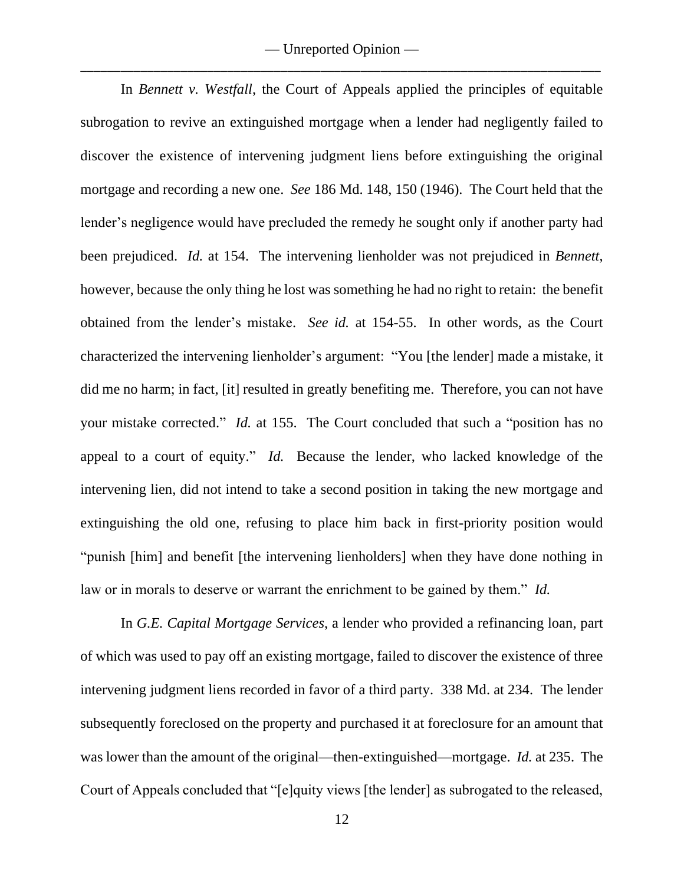In *Bennett v. Westfall*, the Court of Appeals applied the principles of equitable subrogation to revive an extinguished mortgage when a lender had negligently failed to discover the existence of intervening judgment liens before extinguishing the original mortgage and recording a new one. *See* 186 Md. 148, 150 (1946). The Court held that the lender's negligence would have precluded the remedy he sought only if another party had been prejudiced. *Id.* at 154. The intervening lienholder was not prejudiced in *Bennett*, however, because the only thing he lost was something he had no right to retain: the benefit obtained from the lender's mistake. *See id.* at 154-55. In other words, as the Court characterized the intervening lienholder's argument: "You [the lender] made a mistake, it did me no harm; in fact, [it] resulted in greatly benefiting me. Therefore, you can not have your mistake corrected." *Id.* at 155. The Court concluded that such a "position has no appeal to a court of equity." *Id.* Because the lender, who lacked knowledge of the intervening lien, did not intend to take a second position in taking the new mortgage and extinguishing the old one, refusing to place him back in first-priority position would "punish [him] and benefit [the intervening lienholders] when they have done nothing in law or in morals to deserve or warrant the enrichment to be gained by them." *Id.*

In *G.E. Capital Mortgage Services*, a lender who provided a refinancing loan, part of which was used to pay off an existing mortgage, failed to discover the existence of three intervening judgment liens recorded in favor of a third party. 338 Md. at 234. The lender subsequently foreclosed on the property and purchased it at foreclosure for an amount that was lower than the amount of the original—then-extinguished—mortgage. *Id.* at 235. The Court of Appeals concluded that "[e]quity views [the lender] as subrogated to the released,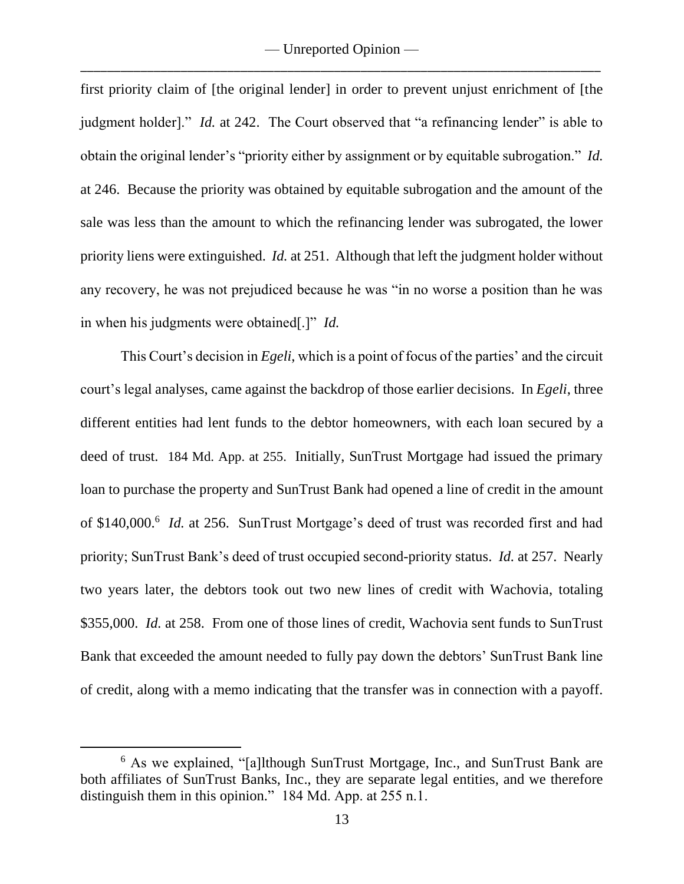first priority claim of [the original lender] in order to prevent unjust enrichment of [the judgment holder]." *Id.* at 242. The Court observed that "a refinancing lender" is able to obtain the original lender's "priority either by assignment or by equitable subrogation." *Id.* at 246. Because the priority was obtained by equitable subrogation and the amount of the sale was less than the amount to which the refinancing lender was subrogated, the lower priority liens were extinguished. *Id.* at 251. Although that left the judgment holder without any recovery, he was not prejudiced because he was "in no worse a position than he was in when his judgments were obtained[.]" *Id.*

This Court's decision in *Egeli*, which is a point of focus of the parties' and the circuit court's legal analyses, came against the backdrop of those earlier decisions. In *Egeli*, three different entities had lent funds to the debtor homeowners, with each loan secured by a deed of trust. 184 Md. App. at 255. Initially, SunTrust Mortgage had issued the primary loan to purchase the property and SunTrust Bank had opened a line of credit in the amount of \$140,000.<sup>6</sup> *Id.* at 256. SunTrust Mortgage's deed of trust was recorded first and had priority; SunTrust Bank's deed of trust occupied second-priority status. *Id.* at 257. Nearly two years later, the debtors took out two new lines of credit with Wachovia, totaling \$355,000. *Id.* at 258. From one of those lines of credit, Wachovia sent funds to SunTrust Bank that exceeded the amount needed to fully pay down the debtors' SunTrust Bank line of credit, along with a memo indicating that the transfer was in connection with a payoff.

<sup>6</sup> As we explained, "[a]lthough SunTrust Mortgage, Inc., and SunTrust Bank are both affiliates of SunTrust Banks, Inc., they are separate legal entities, and we therefore distinguish them in this opinion." 184 Md. App. at 255 n.1.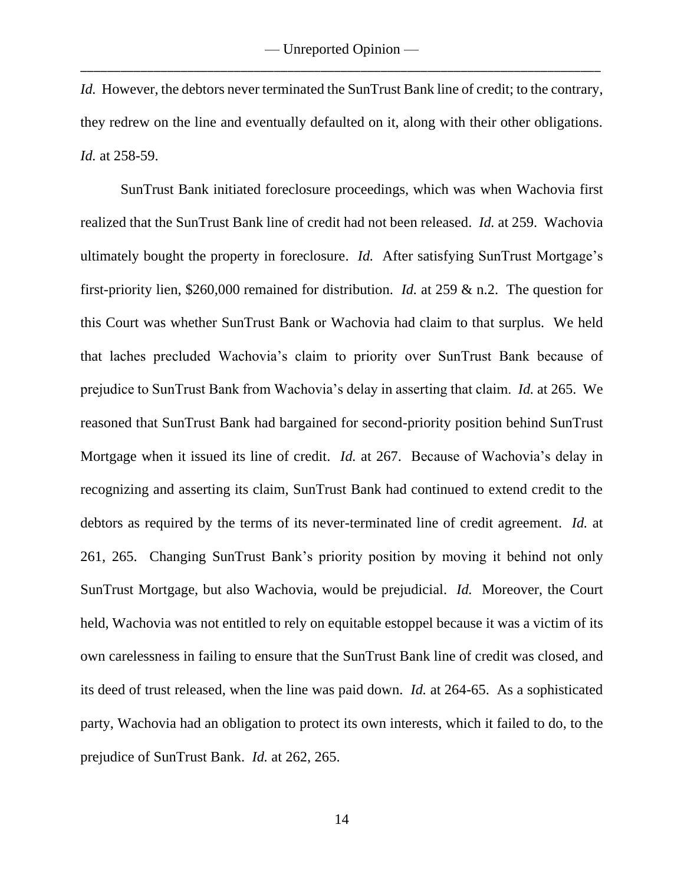*Id.* However, the debtors never terminated the SunTrust Bank line of credit; to the contrary, they redrew on the line and eventually defaulted on it, along with their other obligations. *Id.* at 258-59.

SunTrust Bank initiated foreclosure proceedings, which was when Wachovia first realized that the SunTrust Bank line of credit had not been released. *Id.* at 259. Wachovia ultimately bought the property in foreclosure. *Id.* After satisfying SunTrust Mortgage's first-priority lien, \$260,000 remained for distribution. *Id.* at 259 & n.2. The question for this Court was whether SunTrust Bank or Wachovia had claim to that surplus. We held that laches precluded Wachovia's claim to priority over SunTrust Bank because of prejudice to SunTrust Bank from Wachovia's delay in asserting that claim. *Id.* at 265. We reasoned that SunTrust Bank had bargained for second-priority position behind SunTrust Mortgage when it issued its line of credit. *Id.* at 267. Because of Wachovia's delay in recognizing and asserting its claim, SunTrust Bank had continued to extend credit to the debtors as required by the terms of its never-terminated line of credit agreement. *Id.* at 261, 265. Changing SunTrust Bank's priority position by moving it behind not only SunTrust Mortgage, but also Wachovia, would be prejudicial. *Id.* Moreover, the Court held, Wachovia was not entitled to rely on equitable estoppel because it was a victim of its own carelessness in failing to ensure that the SunTrust Bank line of credit was closed, and its deed of trust released, when the line was paid down. *Id.* at 264-65. As a sophisticated party, Wachovia had an obligation to protect its own interests, which it failed to do, to the prejudice of SunTrust Bank. *Id.* at 262, 265.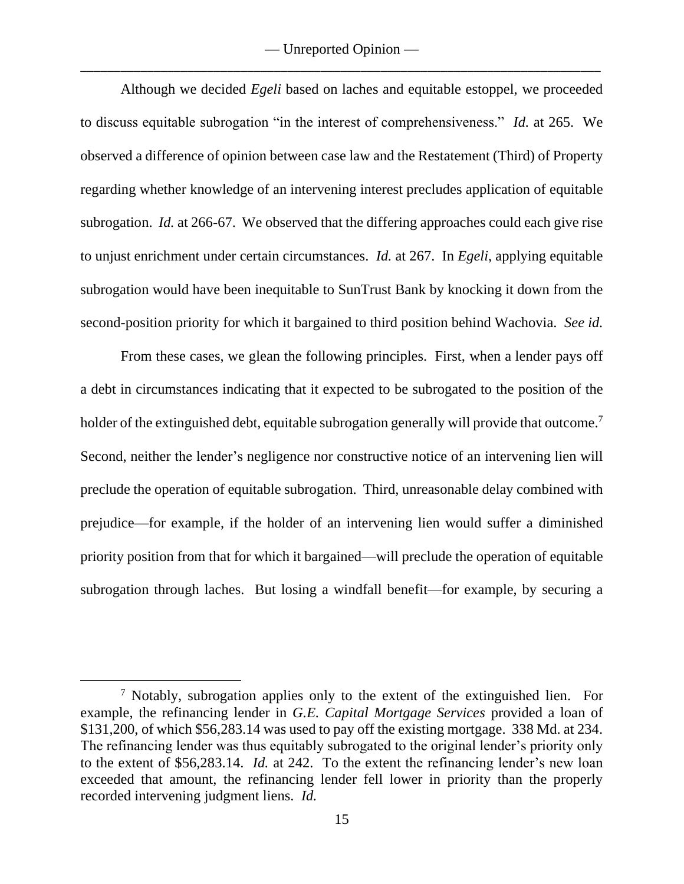Although we decided *Egeli* based on laches and equitable estoppel, we proceeded to discuss equitable subrogation "in the interest of comprehensiveness." *Id.* at 265. We observed a difference of opinion between case law and the Restatement (Third) of Property regarding whether knowledge of an intervening interest precludes application of equitable subrogation. *Id.* at 266-67. We observed that the differing approaches could each give rise to unjust enrichment under certain circumstances. *Id.* at 267. In *Egeli*, applying equitable subrogation would have been inequitable to SunTrust Bank by knocking it down from the second-position priority for which it bargained to third position behind Wachovia. *See id.*

From these cases, we glean the following principles. First, when a lender pays off a debt in circumstances indicating that it expected to be subrogated to the position of the holder of the extinguished debt, equitable subrogation generally will provide that outcome.<sup>7</sup> Second, neither the lender's negligence nor constructive notice of an intervening lien will preclude the operation of equitable subrogation. Third, unreasonable delay combined with prejudice—for example, if the holder of an intervening lien would suffer a diminished priority position from that for which it bargained—will preclude the operation of equitable subrogation through laches. But losing a windfall benefit—for example, by securing a

<sup>7</sup> Notably, subrogation applies only to the extent of the extinguished lien. For example, the refinancing lender in *G.E. Capital Mortgage Services* provided a loan of \$131,200, of which \$56,283.14 was used to pay off the existing mortgage. 338 Md. at 234. The refinancing lender was thus equitably subrogated to the original lender's priority only to the extent of \$56,283.14. *Id.* at 242. To the extent the refinancing lender's new loan exceeded that amount, the refinancing lender fell lower in priority than the properly recorded intervening judgment liens. *Id.*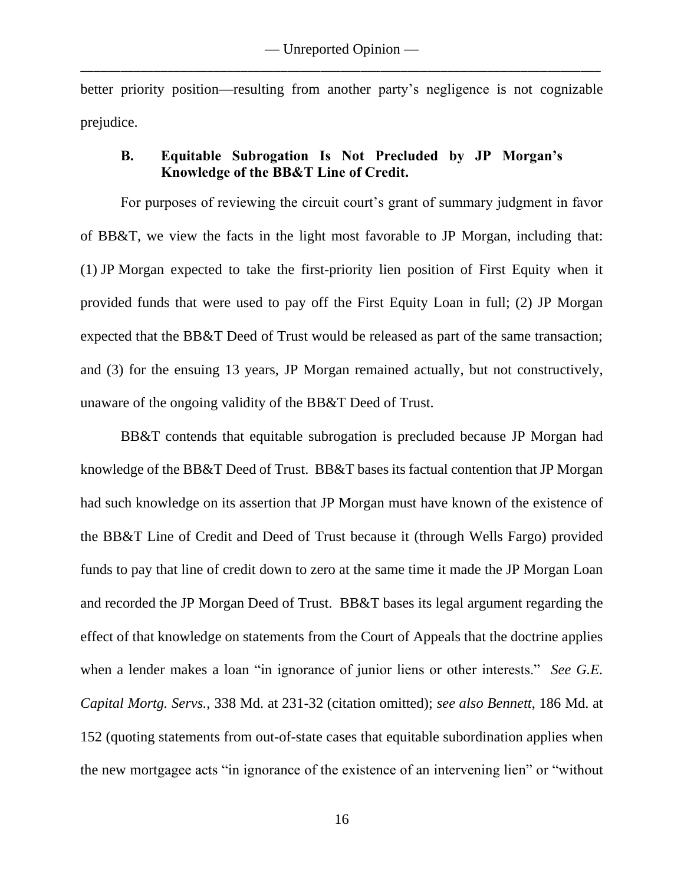better priority position—resulting from another party's negligence is not cognizable prejudice.

# **B. Equitable Subrogation Is Not Precluded by JP Morgan's Knowledge of the BB&T Line of Credit.**

For purposes of reviewing the circuit court's grant of summary judgment in favor of BB&T, we view the facts in the light most favorable to JP Morgan, including that: (1) JP Morgan expected to take the first-priority lien position of First Equity when it provided funds that were used to pay off the First Equity Loan in full; (2) JP Morgan expected that the BB&T Deed of Trust would be released as part of the same transaction; and (3) for the ensuing 13 years, JP Morgan remained actually, but not constructively, unaware of the ongoing validity of the BB&T Deed of Trust.

BB&T contends that equitable subrogation is precluded because JP Morgan had knowledge of the BB&T Deed of Trust. BB&T bases its factual contention that JP Morgan had such knowledge on its assertion that JP Morgan must have known of the existence of the BB&T Line of Credit and Deed of Trust because it (through Wells Fargo) provided funds to pay that line of credit down to zero at the same time it made the JP Morgan Loan and recorded the JP Morgan Deed of Trust. BB&T bases its legal argument regarding the effect of that knowledge on statements from the Court of Appeals that the doctrine applies when a lender makes a loan "in ignorance of junior liens or other interests." *See G.E. Capital Mortg. Servs.*, 338 Md. at 231-32 (citation omitted); *see also Bennett*, 186 Md. at 152 (quoting statements from out-of-state cases that equitable subordination applies when the new mortgagee acts "in ignorance of the existence of an intervening lien" or "without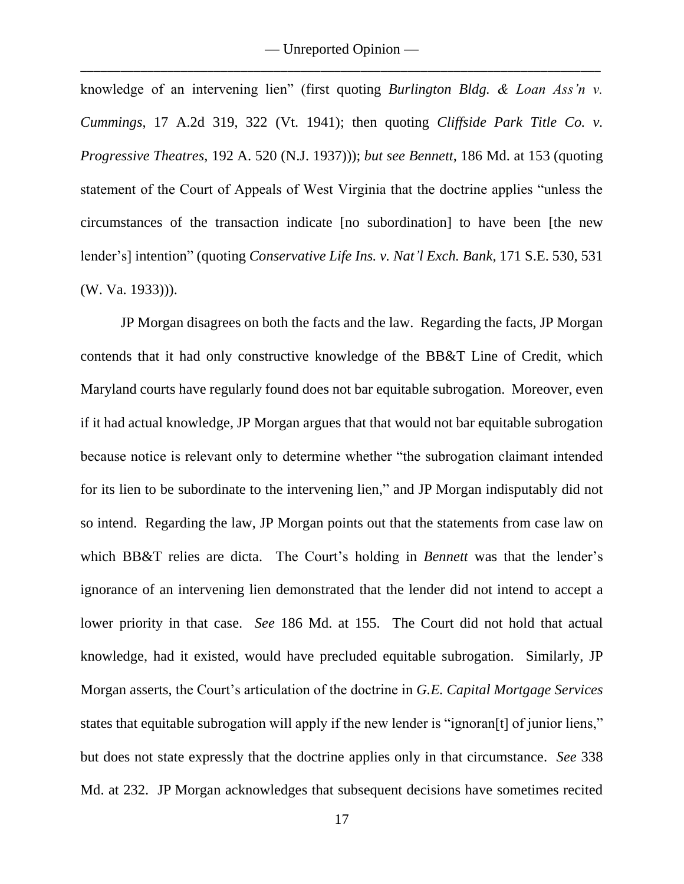knowledge of an intervening lien" (first quoting *Burlington Bldg. & Loan Ass'n v. Cummings*, 17 A.2d 319, 322 (Vt. 1941); then quoting *Cliffside Park Title Co. v. Progressive Theatres*, 192 A. 520 (N.J. 1937))); *but see Bennett*, 186 Md. at 153 (quoting statement of the Court of Appeals of West Virginia that the doctrine applies "unless the circumstances of the transaction indicate [no subordination] to have been [the new lender's] intention" (quoting *Conservative Life Ins. v. Nat'l Exch. Bank*, 171 S.E. 530, 531 (W. Va. 1933))).

JP Morgan disagrees on both the facts and the law. Regarding the facts, JP Morgan contends that it had only constructive knowledge of the BB&T Line of Credit, which Maryland courts have regularly found does not bar equitable subrogation. Moreover, even if it had actual knowledge, JP Morgan argues that that would not bar equitable subrogation because notice is relevant only to determine whether "the subrogation claimant intended for its lien to be subordinate to the intervening lien," and JP Morgan indisputably did not so intend. Regarding the law, JP Morgan points out that the statements from case law on which BB&T relies are dicta. The Court's holding in *Bennett* was that the lender's ignorance of an intervening lien demonstrated that the lender did not intend to accept a lower priority in that case. *See* 186 Md. at 155. The Court did not hold that actual knowledge, had it existed, would have precluded equitable subrogation. Similarly, JP Morgan asserts, the Court's articulation of the doctrine in *G.E. Capital Mortgage Services* states that equitable subrogation will apply if the new lender is "ignoran[t] of junior liens," but does not state expressly that the doctrine applies only in that circumstance. *See* 338 Md. at 232. JP Morgan acknowledges that subsequent decisions have sometimes recited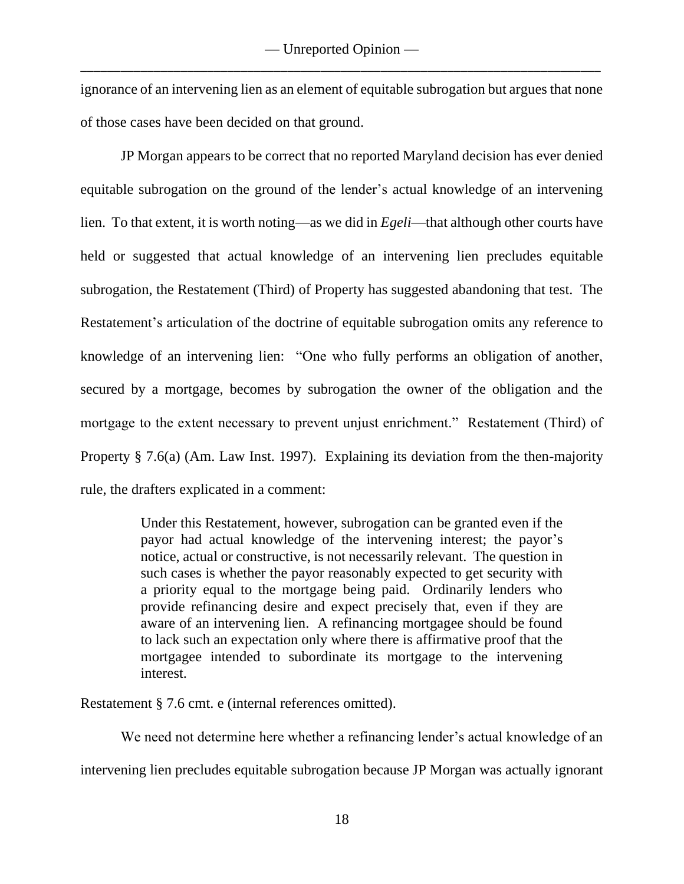ignorance of an intervening lien as an element of equitable subrogation but argues that none of those cases have been decided on that ground.

JP Morgan appears to be correct that no reported Maryland decision has ever denied equitable subrogation on the ground of the lender's actual knowledge of an intervening lien. To that extent, it is worth noting—as we did in *Egeli*—that although other courts have held or suggested that actual knowledge of an intervening lien precludes equitable subrogation, the Restatement (Third) of Property has suggested abandoning that test. The Restatement's articulation of the doctrine of equitable subrogation omits any reference to knowledge of an intervening lien: "One who fully performs an obligation of another, secured by a mortgage, becomes by subrogation the owner of the obligation and the mortgage to the extent necessary to prevent unjust enrichment." Restatement (Third) of Property § 7.6(a) (Am. Law Inst. 1997). Explaining its deviation from the then-majority rule, the drafters explicated in a comment:

> Under this Restatement, however, subrogation can be granted even if the payor had actual knowledge of the intervening interest; the payor's notice, actual or constructive, is not necessarily relevant. The question in such cases is whether the payor reasonably expected to get security with a priority equal to the mortgage being paid. Ordinarily lenders who provide refinancing desire and expect precisely that, even if they are aware of an intervening lien. A refinancing mortgagee should be found to lack such an expectation only where there is affirmative proof that the mortgagee intended to subordinate its mortgage to the intervening interest.

Restatement § 7.6 cmt. e (internal references omitted).

We need not determine here whether a refinancing lender's actual knowledge of an intervening lien precludes equitable subrogation because JP Morgan was actually ignorant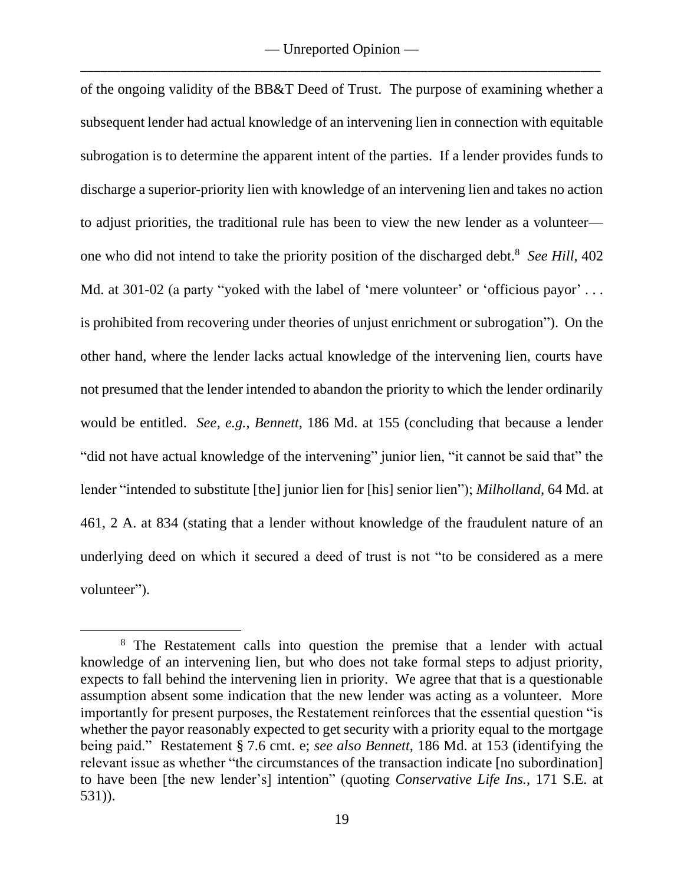of the ongoing validity of the BB&T Deed of Trust. The purpose of examining whether a subsequent lender had actual knowledge of an intervening lien in connection with equitable subrogation is to determine the apparent intent of the parties. If a lender provides funds to discharge a superior-priority lien with knowledge of an intervening lien and takes no action to adjust priorities, the traditional rule has been to view the new lender as a volunteer one who did not intend to take the priority position of the discharged debt.<sup>8</sup> See Hill, 402 Md. at 301-02 (a party "yoked with the label of 'mere volunteer' or 'officious payor' ... is prohibited from recovering under theories of unjust enrichment or subrogation"). On the other hand, where the lender lacks actual knowledge of the intervening lien, courts have not presumed that the lender intended to abandon the priority to which the lender ordinarily would be entitled. *See, e.g.*, *Bennett*, 186 Md. at 155 (concluding that because a lender "did not have actual knowledge of the intervening" junior lien, "it cannot be said that" the lender "intended to substitute [the] junior lien for [his] senior lien"); *Milholland*, 64 Md. at 461, 2 A. at 834 (stating that a lender without knowledge of the fraudulent nature of an underlying deed on which it secured a deed of trust is not "to be considered as a mere volunteer").

<sup>&</sup>lt;sup>8</sup> The Restatement calls into question the premise that a lender with actual knowledge of an intervening lien, but who does not take formal steps to adjust priority, expects to fall behind the intervening lien in priority. We agree that that is a questionable assumption absent some indication that the new lender was acting as a volunteer. More importantly for present purposes, the Restatement reinforces that the essential question "is whether the payor reasonably expected to get security with a priority equal to the mortgage being paid." Restatement § 7.6 cmt. e; *see also Bennett*, 186 Md. at 153 (identifying the relevant issue as whether "the circumstances of the transaction indicate [no subordination] to have been [the new lender's] intention" (quoting *Conservative Life Ins.*, 171 S.E. at 531)).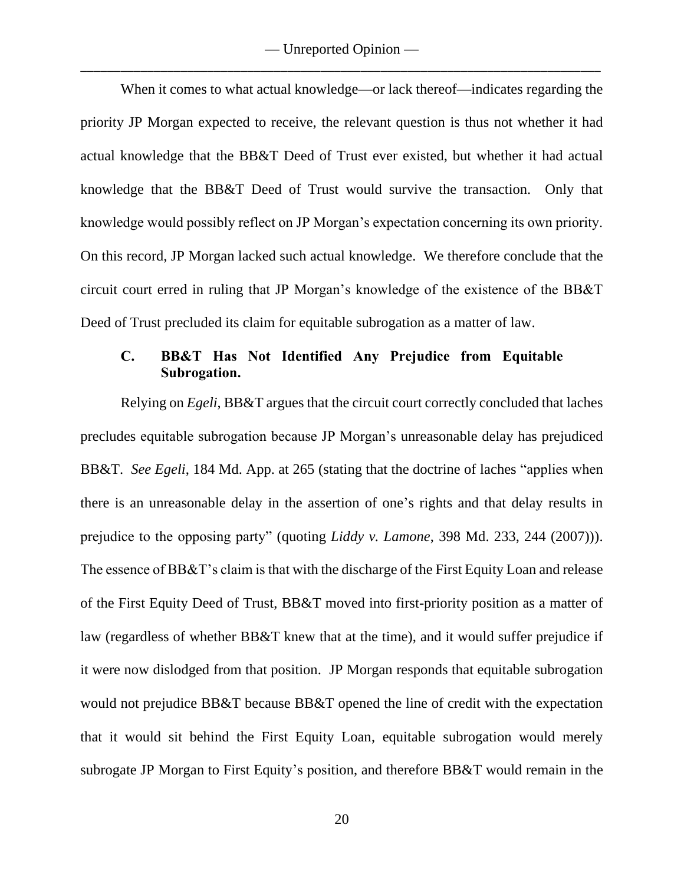When it comes to what actual knowledge—or lack thereof—indicates regarding the priority JP Morgan expected to receive, the relevant question is thus not whether it had actual knowledge that the BB&T Deed of Trust ever existed, but whether it had actual knowledge that the BB&T Deed of Trust would survive the transaction. Only that knowledge would possibly reflect on JP Morgan's expectation concerning its own priority. On this record, JP Morgan lacked such actual knowledge. We therefore conclude that the circuit court erred in ruling that JP Morgan's knowledge of the existence of the BB&T Deed of Trust precluded its claim for equitable subrogation as a matter of law.

## **C. BB&T Has Not Identified Any Prejudice from Equitable Subrogation.**

Relying on *Egeli*, BB&T argues that the circuit court correctly concluded that laches precludes equitable subrogation because JP Morgan's unreasonable delay has prejudiced BB&T. *See Egeli*, 184 Md. App. at 265 (stating that the doctrine of laches "applies when there is an unreasonable delay in the assertion of one's rights and that delay results in prejudice to the opposing party" (quoting *Liddy v. Lamone*, 398 Md. 233, 244 (2007))). The essence of BB&T's claim is that with the discharge of the First Equity Loan and release of the First Equity Deed of Trust, BB&T moved into first-priority position as a matter of law (regardless of whether BB&T knew that at the time), and it would suffer prejudice if it were now dislodged from that position. JP Morgan responds that equitable subrogation would not prejudice BB&T because BB&T opened the line of credit with the expectation that it would sit behind the First Equity Loan, equitable subrogation would merely subrogate JP Morgan to First Equity's position, and therefore BB&T would remain in the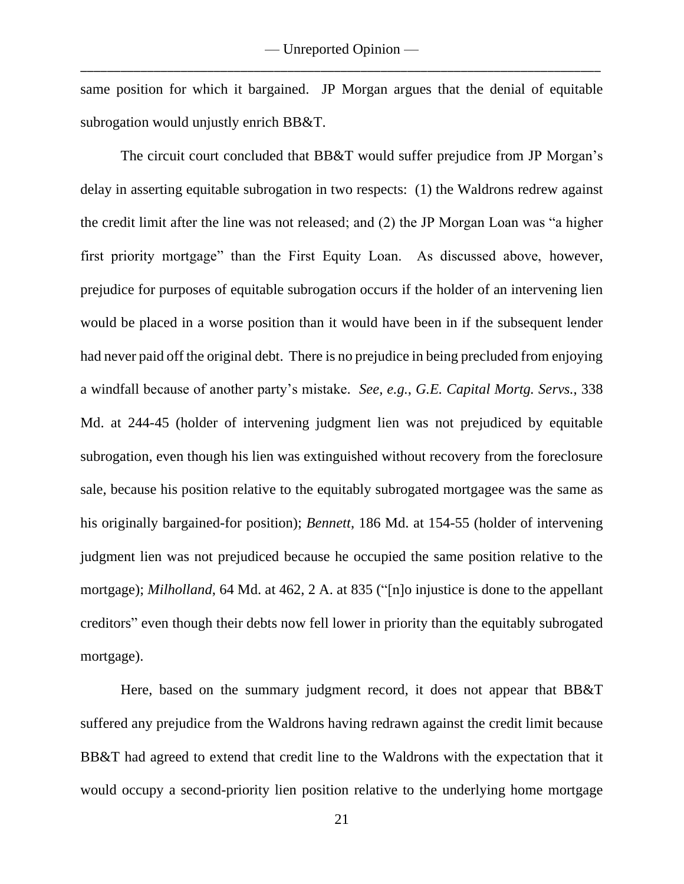same position for which it bargained. JP Morgan argues that the denial of equitable subrogation would unjustly enrich BB&T.

The circuit court concluded that BB&T would suffer prejudice from JP Morgan's delay in asserting equitable subrogation in two respects: (1) the Waldrons redrew against the credit limit after the line was not released; and (2) the JP Morgan Loan was "a higher first priority mortgage" than the First Equity Loan. As discussed above, however, prejudice for purposes of equitable subrogation occurs if the holder of an intervening lien would be placed in a worse position than it would have been in if the subsequent lender had never paid off the original debt. There is no prejudice in being precluded from enjoying a windfall because of another party's mistake. *See, e.g.*, *G.E. Capital Mortg. Servs.*, 338 Md. at 244-45 (holder of intervening judgment lien was not prejudiced by equitable subrogation, even though his lien was extinguished without recovery from the foreclosure sale, because his position relative to the equitably subrogated mortgagee was the same as his originally bargained-for position); *Bennett*, 186 Md. at 154-55 (holder of intervening judgment lien was not prejudiced because he occupied the same position relative to the mortgage); *Milholland*, 64 Md. at 462, 2 A. at 835 ("[n]o injustice is done to the appellant creditors" even though their debts now fell lower in priority than the equitably subrogated mortgage).

Here, based on the summary judgment record, it does not appear that BB&T suffered any prejudice from the Waldrons having redrawn against the credit limit because BB&T had agreed to extend that credit line to the Waldrons with the expectation that it would occupy a second-priority lien position relative to the underlying home mortgage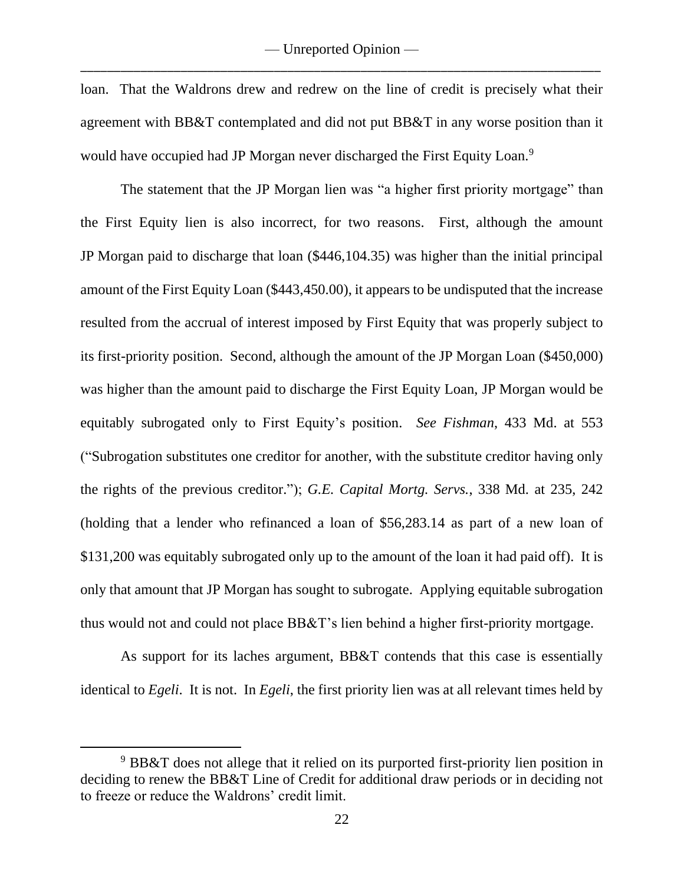loan. That the Waldrons drew and redrew on the line of credit is precisely what their agreement with BB&T contemplated and did not put BB&T in any worse position than it would have occupied had JP Morgan never discharged the First Equity Loan.<sup>9</sup>

The statement that the JP Morgan lien was "a higher first priority mortgage" than the First Equity lien is also incorrect, for two reasons. First, although the amount JP Morgan paid to discharge that loan (\$446,104.35) was higher than the initial principal amount of the First Equity Loan (\$443,450.00), it appears to be undisputed that the increase resulted from the accrual of interest imposed by First Equity that was properly subject to its first-priority position. Second, although the amount of the JP Morgan Loan (\$450,000) was higher than the amount paid to discharge the First Equity Loan, JP Morgan would be equitably subrogated only to First Equity's position. *See Fishman*, 433 Md. at 553 ("Subrogation substitutes one creditor for another, with the substitute creditor having only the rights of the previous creditor."); *G.E. Capital Mortg. Servs.*, 338 Md. at 235, 242 (holding that a lender who refinanced a loan of \$56,283.14 as part of a new loan of \$131,200 was equitably subrogated only up to the amount of the loan it had paid off). It is only that amount that JP Morgan has sought to subrogate. Applying equitable subrogation thus would not and could not place BB&T's lien behind a higher first-priority mortgage.

As support for its laches argument, BB&T contends that this case is essentially identical to *Egeli*. It is not. In *Egeli*, the first priority lien was at all relevant times held by

<sup>9</sup> BB&T does not allege that it relied on its purported first-priority lien position in deciding to renew the BB&T Line of Credit for additional draw periods or in deciding not to freeze or reduce the Waldrons' credit limit.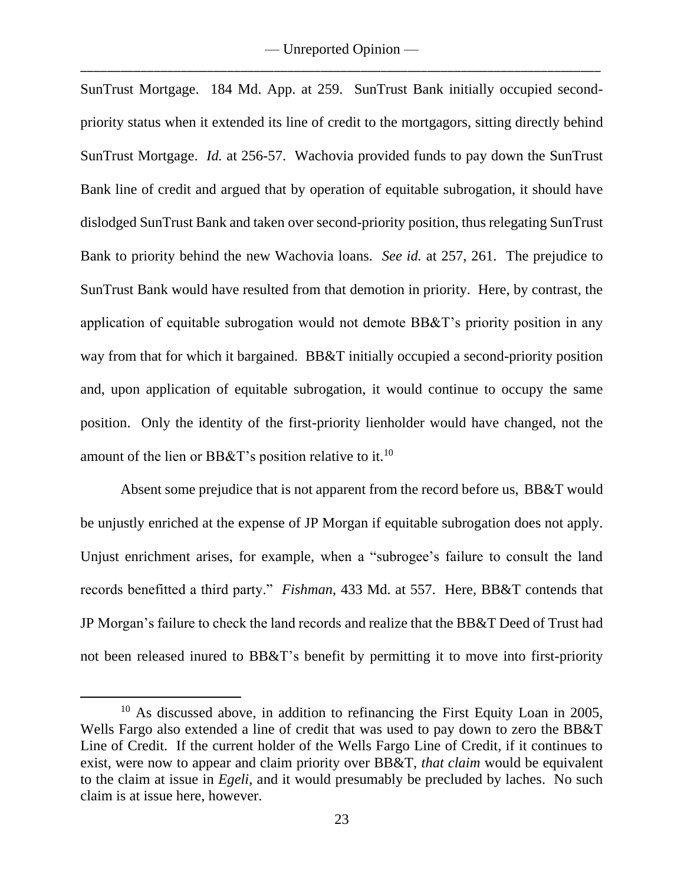SunTrust Mortgage. 184 Md. App. at 259. SunTrust Bank initially occupied secondpriority status when it extended its line of credit to the mortgagors, sitting directly behind SunTrust Mortgage. *Id.* at 256-57. Wachovia provided funds to pay down the SunTrust Bank line of credit and argued that by operation of equitable subrogation, it should have dislodged SunTrust Bank and taken over second-priority position, thus relegating SunTrust Bank to priority behind the new Wachovia loans. *See id.* at 257, 261. The prejudice to SunTrust Bank would have resulted from that demotion in priority. Here, by contrast, the application of equitable subrogation would not demote BB&T's priority position in any way from that for which it bargained. BB&T initially occupied a second-priority position and, upon application of equitable subrogation, it would continue to occupy the same position. Only the identity of the first-priority lienholder would have changed, not the amount of the lien or BB&T's position relative to it.<sup>10</sup>

Absent some prejudice that is not apparent from the record before us, BB&T would be unjustly enriched at the expense of JP Morgan if equitable subrogation does not apply. Unjust enrichment arises, for example, when a "subrogee's failure to consult the land records benefitted a third party." *Fishman*, 433 Md. at 557. Here, BB&T contends that JP Morgan's failure to check the land records and realize that the BB&T Deed of Trust had not been released inured to BB&T's benefit by permitting it to move into first-priority

<sup>&</sup>lt;sup>10</sup> As discussed above, in addition to refinancing the First Equity Loan in 2005, Wells Fargo also extended a line of credit that was used to pay down to zero the BB&T Line of Credit. If the current holder of the Wells Fargo Line of Credit, if it continues to exist, were now to appear and claim priority over BB&T, *that claim* would be equivalent to the claim at issue in *Egeli*, and it would presumably be precluded by laches. No such claim is at issue here, however.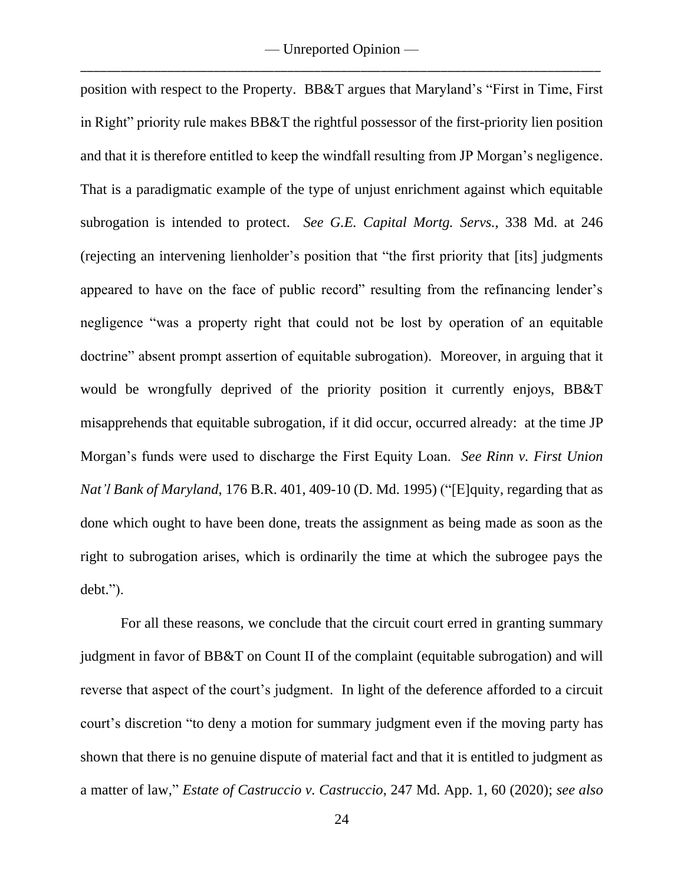position with respect to the Property. BB&T argues that Maryland's "First in Time, First in Right" priority rule makes BB&T the rightful possessor of the first-priority lien position and that it is therefore entitled to keep the windfall resulting from JP Morgan's negligence. That is a paradigmatic example of the type of unjust enrichment against which equitable subrogation is intended to protect. *See G.E. Capital Mortg. Servs.*, 338 Md. at 246 (rejecting an intervening lienholder's position that "the first priority that [its] judgments appeared to have on the face of public record" resulting from the refinancing lender's negligence "was a property right that could not be lost by operation of an equitable doctrine" absent prompt assertion of equitable subrogation). Moreover, in arguing that it would be wrongfully deprived of the priority position it currently enjoys, BB&T misapprehends that equitable subrogation, if it did occur, occurred already: at the time JP Morgan's funds were used to discharge the First Equity Loan. *See Rinn v. First Union Nat'l Bank of Maryland*, 176 B.R. 401, 409-10 (D. Md. 1995) ("[E]quity, regarding that as done which ought to have been done, treats the assignment as being made as soon as the right to subrogation arises, which is ordinarily the time at which the subrogee pays the debt.").

For all these reasons, we conclude that the circuit court erred in granting summary judgment in favor of BB&T on Count II of the complaint (equitable subrogation) and will reverse that aspect of the court's judgment. In light of the deference afforded to a circuit court's discretion "to deny a motion for summary judgment even if the moving party has shown that there is no genuine dispute of material fact and that it is entitled to judgment as a matter of law," *Estate of Castruccio v. Castruccio*, 247 Md. App. 1, 60 (2020); *see also*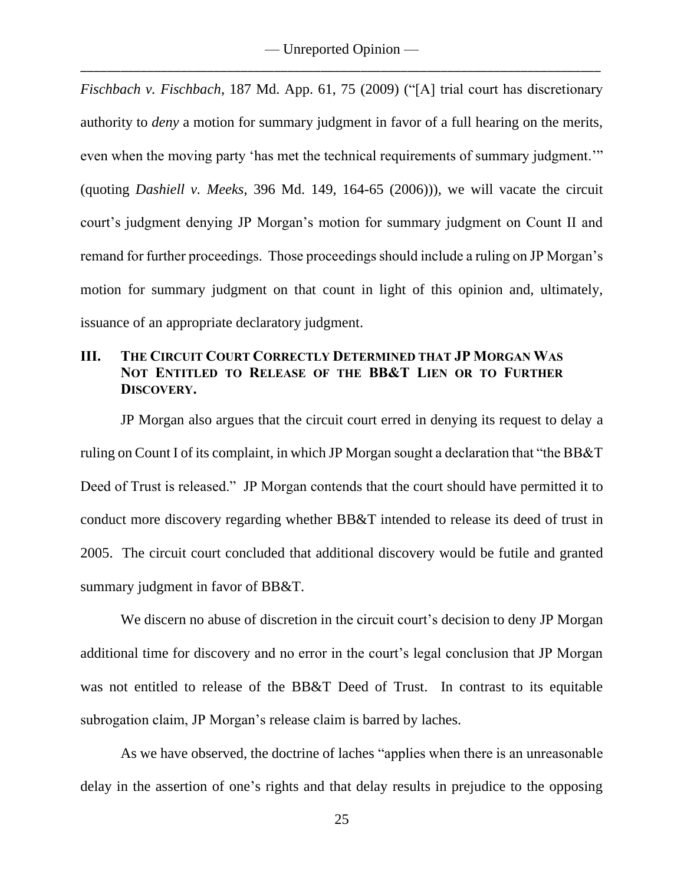*Fischbach v. Fischbach*, 187 Md. App. 61, 75 (2009) ("[A] trial court has discretionary authority to *deny* a motion for summary judgment in favor of a full hearing on the merits, even when the moving party 'has met the technical requirements of summary judgment.'" (quoting *Dashiell v. Meeks*, 396 Md. 149, 164-65 (2006))), we will vacate the circuit court's judgment denying JP Morgan's motion for summary judgment on Count II and remand for further proceedings. Those proceedings should include a ruling on JP Morgan's motion for summary judgment on that count in light of this opinion and, ultimately, issuance of an appropriate declaratory judgment.

# **III. THE CIRCUIT COURT CORRECTLY DETERMINED THAT JP MORGAN WAS NOT ENTITLED TO RELEASE OF THE BB&T LIEN OR TO FURTHER DISCOVERY.**

JP Morgan also argues that the circuit court erred in denying its request to delay a ruling on Count I of its complaint, in which JP Morgan sought a declaration that "the BB&T Deed of Trust is released." JP Morgan contends that the court should have permitted it to conduct more discovery regarding whether BB&T intended to release its deed of trust in 2005. The circuit court concluded that additional discovery would be futile and granted summary judgment in favor of BB&T.

We discern no abuse of discretion in the circuit court's decision to deny JP Morgan additional time for discovery and no error in the court's legal conclusion that JP Morgan was not entitled to release of the BB&T Deed of Trust. In contrast to its equitable subrogation claim, JP Morgan's release claim is barred by laches.

As we have observed, the doctrine of laches "applies when there is an unreasonable delay in the assertion of one's rights and that delay results in prejudice to the opposing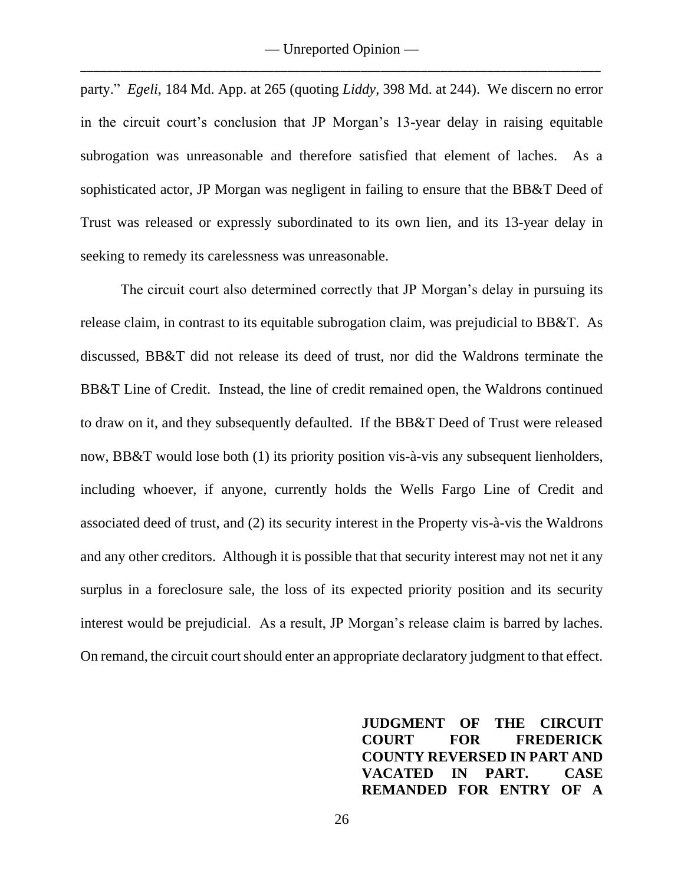party." *Egeli*, 184 Md. App. at 265 (quoting *Liddy*, 398 Md. at 244). We discern no error in the circuit court's conclusion that JP Morgan's 13-year delay in raising equitable subrogation was unreasonable and therefore satisfied that element of laches. As a sophisticated actor, JP Morgan was negligent in failing to ensure that the BB&T Deed of Trust was released or expressly subordinated to its own lien, and its 13-year delay in seeking to remedy its carelessness was unreasonable.

The circuit court also determined correctly that JP Morgan's delay in pursuing its release claim, in contrast to its equitable subrogation claim, was prejudicial to BB&T. As discussed, BB&T did not release its deed of trust, nor did the Waldrons terminate the BB&T Line of Credit. Instead, the line of credit remained open, the Waldrons continued to draw on it, and they subsequently defaulted. If the BB&T Deed of Trust were released now, BB&T would lose both (1) its priority position vis-à-vis any subsequent lienholders, including whoever, if anyone, currently holds the Wells Fargo Line of Credit and associated deed of trust, and (2) its security interest in the Property vis-à-vis the Waldrons and any other creditors. Although it is possible that that security interest may not net it any surplus in a foreclosure sale, the loss of its expected priority position and its security interest would be prejudicial. As a result, JP Morgan's release claim is barred by laches. On remand, the circuit court should enter an appropriate declaratory judgment to that effect.

> **JUDGMENT OF THE CIRCUIT COURT FOR FREDERICK COUNTY REVERSED IN PART AND VACATED IN PART. CASE REMANDED FOR ENTRY OF A**